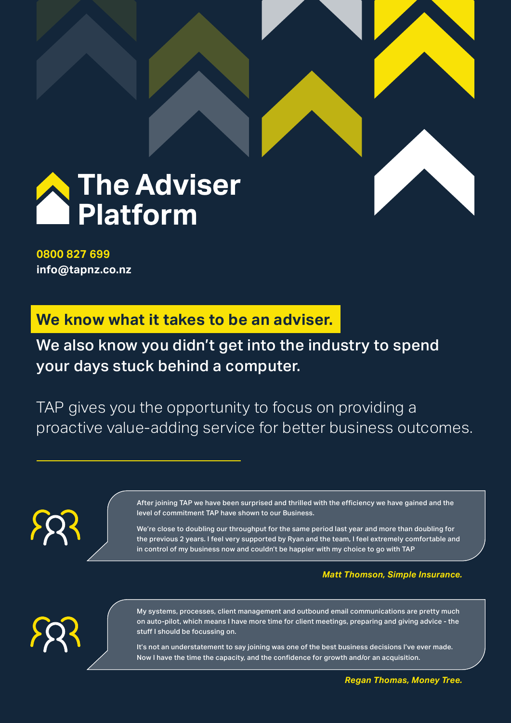

**0800 827 699 info@tapnz.co.nz**

**We know what it takes to be an adviser.**

We also know you didn't get into the industry to spend your days stuck behind a computer.

TAP gives you the opportunity to focus on providing a proactive value-adding service for better business outcomes.

> After joining TAP we have been surprised and thrilled with the efficiency we have gained and the level of commitment TAP have shown to our Business.

We're close to doubling our throughput for the same period last year and more than doubling for the previous 2 years. I feel very supported by Ryan and the team, I feel extremely comfortable and in control of my business now and couldn't be happier with my choice to go with TAP

### *Matt Thomson, Simple Insurance.*



My systems, processes, client management and outbound email communications are pretty much on auto-pilot, which means I have more time for client meetings, preparing and giving advice - the stuff I should be focussing on.

It's not an understatement to say joining was one of the best business decisions I've ever made. Now I have the time the capacity, and the confidence for growth and/or an acquisition.